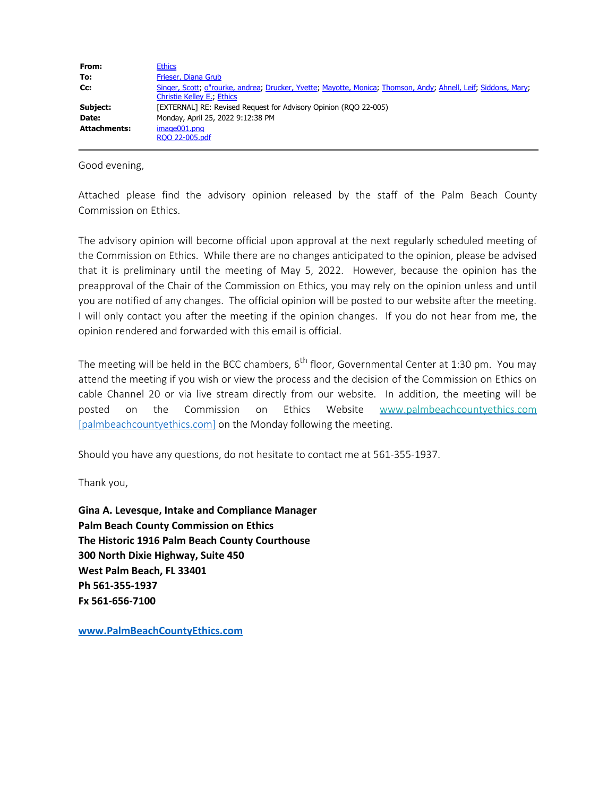| From:        | <b>Ethics</b>                                                                                                                                       |
|--------------|-----------------------------------------------------------------------------------------------------------------------------------------------------|
| To:          | Frieser, Diana Grub                                                                                                                                 |
| Cc:          | Singer, Scott; o"rourke, andrea; Drucker, Yvette; Mayotte, Monica; Thomson, Andy; Ahnell, Leif; Siddons, Mary;<br><b>Christie Kelley E., Ethics</b> |
| Subject:     | [EXTERNAL] RE: Revised Request for Advisory Opinion (RQO 22-005)                                                                                    |
| Date:        | Monday, April 25, 2022 9:12:38 PM                                                                                                                   |
| Attachments: | image001.png                                                                                                                                        |
|              | ROO 22-005.pdf                                                                                                                                      |

Good evening,

Attached please find the advisory opinion released by the staff of the Palm Beach County Commission on Ethics.

The advisory opinion will become official upon approval at the next regularly scheduled meeting of the Commission on Ethics. While there are no changes anticipated to the opinion, please be advised that it is preliminary until the meeting of May 5, 2022. However, because the opinion has the preapproval of the Chair of the Commission on Ethics, you may rely on the opinion unless and until you are notified of any changes. The official opinion will be posted to our website after the meeting. I will only contact you after the meeting if the opinion changes. If you do not hear from me, the opinion rendered and forwarded with this email is official.

The meeting will be held in the BCC chambers,  $6<sup>th</sup>$  floor, Governmental Center at 1:30 pm. You may attend the meeting if you wish or view the process and the decision of the Commission on Ethics on cable Channel 20 or via live stream directly from our website. In addition, the meeting will be posted on the Commission on Ethics Website [www.palmbeachcountyethics.com](https://urldefense.com/v3/__http://www.palmbeachcountyethics.com__;!!IjeIZXpjqV3jkQ!Nog1LQqmK9OnR4EuLxd5DfG8DVnPulq_HpWcenRgtKAnr37lxetPx1ljFyGYdHx10mgyuub9YaD1nlP-pE5JMeIC7A0gEoO9HN0$) [\[palmbeachcountyethics.com\]](https://urldefense.com/v3/__http://www.palmbeachcountyethics.com__;!!IjeIZXpjqV3jkQ!Nog1LQqmK9OnR4EuLxd5DfG8DVnPulq_HpWcenRgtKAnr37lxetPx1ljFyGYdHx10mgyuub9YaD1nlP-pE5JMeIC7A0gEoO9HN0$) on the Monday following the meeting.

Should you have any questions, do not hesitate to contact me at 561-355-1937.

Thank you,

**Gina A. Levesque, Intake and Compliance Manager Palm Beach County Commission on Ethics The Historic 1916 Palm Beach County Courthouse 300 North Dixie Highway, Suite 450 West Palm Beach, FL 33401 Ph 561-355-1937 Fx 561-656-7100**

**[www.PalmBeachCountyEthics.com](mailto:scullen@palmbeachcountyethics.com)**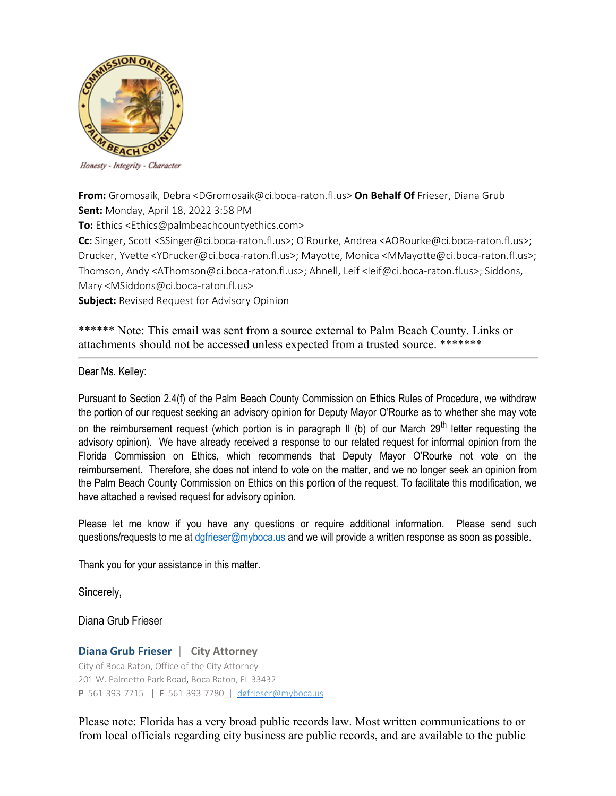

Honesty - Integrity - Character

**From:** Gromosaik, Debra <DGromosaik@ci.boca-raton.fl.us> **On Behalf Of** Frieser, Diana Grub **Sent:** Monday, April 18, 2022 3:58 PM

**To:** Ethics <Ethics@palmbeachcountyethics.com>

**Cc:** Singer, Scott <SSinger@ci.boca-raton.fl.us>; O'Rourke, Andrea <AORourke@ci.boca-raton.fl.us>; Drucker, Yvette <YDrucker@ci.boca-raton.fl.us>; Mayotte, Monica <MMayotte@ci.boca-raton.fl.us>; Thomson, Andy <AThomson@ci.boca-raton.fl.us>; Ahnell, Leif <leif@ci.boca-raton.fl.us>; Siddons, Mary <MSiddons@ci.boca-raton.fl.us>

**Subject:** Revised Request for Advisory Opinion

\*\*\*\*\*\* Note: This email was sent from a source external to Palm Beach County. Links or attachments should not be accessed unless expected from a trusted source. \*\*\*\*\*\*\*

Dear Ms. Kelley:

Pursuant to Section 2.4(f) of the Palm Beach County Commission on Ethics Rules of Procedure, we withdraw the portion of our request seeking an advisory opinion for Deputy Mayor O'Rourke as to whether she may vote on the reimbursement request (which portion is in paragraph II (b) of our March 29<sup>th</sup> letter requesting the advisory opinion). We have already received a response to our related request for informal opinion from the Florida Commission on Ethics, which recommends that Deputy Mayor O'Rourke not vote on the reimbursement. Therefore, she does not intend to vote on the matter, and we no longer seek an opinion from the Palm Beach County Commission on Ethics on this portion of the request. To facilitate this modification, we have attached a revised request for advisory opinion.

Please let me know if you have any questions or require additional information. Please send such questions/requests to me at dafrieser@myboca.us and we will provide a written response as soon as possible.

Thank you for your assistance in this matter.

Sincerely,

Diana Grub Frieser

## **Diana Grub Frieser** | **City Attorney**

City of Boca Raton, Office of the City Attorney 201 W. Palmetto Park Road, Boca Raton, FL 33432 **P** 561-393-7715 | **F** 561-393-7780 | [dgfrieser@myboca.us](mailto:dgfrieser@myboca.us)

Please note: Florida has a very broad public records law. Most written communications to or from local officials regarding city business are public records, and are available to the public